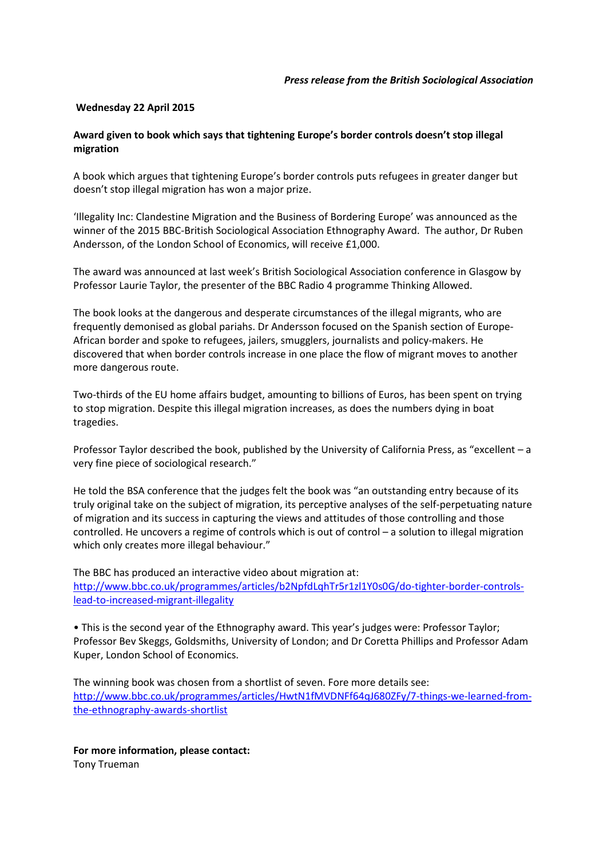## **Wednesday 22 April 2015**

## **Award given to book which says that tightening Europe's border controls doesn't stop illegal migration**

A book which argues that tightening Europe's border controls puts refugees in greater danger but doesn't stop illegal migration has won a major prize.

'Illegality Inc: Clandestine Migration and the Business of Bordering Europe' was announced as the winner of the 2015 BBC-British Sociological Association Ethnography Award. The author, Dr Ruben Andersson, of the London School of Economics, will receive £1,000.

The award was announced at last week's British Sociological Association conference in Glasgow by Professor Laurie Taylor, the presenter of the BBC Radio 4 programme Thinking Allowed.

The book looks at the dangerous and desperate circumstances of the illegal migrants, who are frequently demonised as global pariahs. Dr Andersson focused on the Spanish section of Europe-African border and spoke to refugees, jailers, smugglers, journalists and policy-makers. He discovered that when border controls increase in one place the flow of migrant moves to another more dangerous route.

Two-thirds of the EU home affairs budget, amounting to billions of Euros, has been spent on trying to stop migration. Despite this illegal migration increases, as does the numbers dying in boat tragedies.

Professor Taylor described the book, published by the University of California Press, as "excellent – a very fine piece of sociological research."

He told the BSA conference that the judges felt the book was "an outstanding entry because of its truly original take on the subject of migration, its perceptive analyses of the self-perpetuating nature of migration and its success in capturing the views and attitudes of those controlling and those controlled. He uncovers a regime of controls which is out of control – a solution to illegal migration which only creates more illegal behaviour."

The BBC has produced an interactive video about migration at: [http://www.bbc.co.uk/programmes/articles/b2NpfdLqhTr5r1zl1Y0s0G/do-tighter-border-controls](http://www.bbc.co.uk/programmes/articles/b2NpfdLqhTr5r1zl1Y0s0G/do-tighter-border-controls-lead-to-increased-migrant-illegality)[lead-to-increased-migrant-illegality](http://www.bbc.co.uk/programmes/articles/b2NpfdLqhTr5r1zl1Y0s0G/do-tighter-border-controls-lead-to-increased-migrant-illegality)

• This is the second year of the Ethnography award. This year's judges were: Professor Taylor; Professor Bev Skeggs, Goldsmiths, University of London; and Dr Coretta Phillips and Professor Adam Kuper, London School of Economics.

The winning book was chosen from a shortlist of seven. Fore more details see: [http://www.bbc.co.uk/programmes/articles/HwtN1fMVDNFf64qJ680ZFy/7-things-we-learned-from](http://www.bbc.co.uk/programmes/articles/HwtN1fMVDNFf64qJ680ZFy/7-things-we-learned-from-the-ethnography-awards-shortlist)[the-ethnography-awards-shortlist](http://www.bbc.co.uk/programmes/articles/HwtN1fMVDNFf64qJ680ZFy/7-things-we-learned-from-the-ethnography-awards-shortlist)

**For more information, please contact:** Tony Trueman